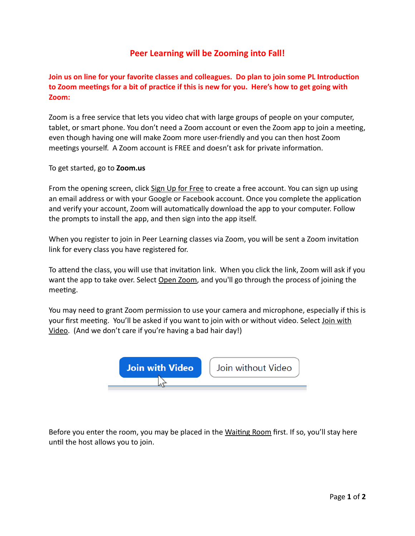## **Peer Learning will be Zooming into Fall!**

## **Join us on line for your favorite classes and colleagues. Do plan to join some PL Introduction** to Zoom meetings for a bit of practice if this is new for you. Here's how to get going with **Zoom:**

Zoom is a free service that lets you video chat with large groups of people on your computer, tablet, or smart phone. You don't need a Zoom account or even the Zoom app to join a meeting, even though having one will make Zoom more user-friendly and you can then host Zoom meetings yourself. A Zoom account is FREE and doesn't ask for private information.

To get started, go to **Zoom.us** 

From the opening screen, click Sign Up for Free to create a free account. You can sign up using an email address or with your Google or Facebook account. Once you complete the application and verify your account, Zoom will automatically download the app to your computer. Follow the prompts to install the app, and then sign into the app itself.

When you register to join in Peer Learning classes via Zoom, you will be sent a Zoom invitation link for every class you have registered for.

To attend the class, you will use that invitation link. When you click the link, Zoom will ask if you want the app to take over. Select Open Zoom, and you'll go through the process of joining the meeting.

You may need to grant Zoom permission to use your camera and microphone, especially if this is your first meeting. You'll be asked if you want to join with or without video. Select Join with Video. (And we don't care if you're having a bad hair day!)



Before you enter the room, you may be placed in the Waiting Room first. If so, you'll stay here until the host allows you to join.